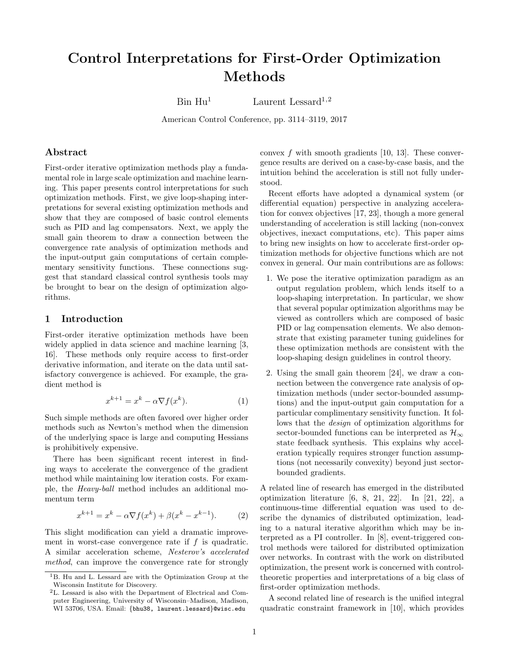# Control Interpretations for First-Order Optimization Methods

 $\text{Bin } \text{Hu}^1$  Laurent Lessard<sup>1,2</sup>

American Control Conference, pp. 3114–3119, 2017

### Abstract

First-order iterative optimization methods play a fundamental role in large scale optimization and machine learning. This paper presents control interpretations for such optimization methods. First, we give loop-shaping interpretations for several existing optimization methods and show that they are composed of basic control elements such as PID and lag compensators. Next, we apply the small gain theorem to draw a connection between the convergence rate analysis of optimization methods and the input-output gain computations of certain complementary sensitivity functions. These connections suggest that standard classical control synthesis tools may be brought to bear on the design of optimization algorithms.

### 1 Introduction

First-order iterative optimization methods have been widely applied in data science and machine learning [\[3,](#page-6-0) [16\]](#page-6-1). These methods only require access to first-order derivative information, and iterate on the data until satisfactory convergence is achieved. For example, the gradient method is

<span id="page-0-0"></span>
$$
x^{k+1} = x^k - \alpha \nabla f(x^k). \tag{1}
$$

Such simple methods are often favored over higher order methods such as Newton's method when the dimension of the underlying space is large and computing Hessians is prohibitively expensive.

There has been significant recent interest in finding ways to accelerate the convergence of the gradient method while maintaining low iteration costs. For example, the Heavy-ball method includes an additional momentum term

<span id="page-0-1"></span>
$$
x^{k+1} = x^k - \alpha \nabla f(x^k) + \beta (x^k - x^{k-1}).
$$
 (2)

This slight modification can yield a dramatic improvement in worst-case convergence rate if  $f$  is quadratic. A similar acceleration scheme, Nesterov's accelerated method, can improve the convergence rate for strongly

convex  $f$  with smooth gradients [\[10,](#page-6-2) [13\]](#page-6-3). These convergence results are derived on a case-by-case basis, and the intuition behind the acceleration is still not fully understood.

Recent efforts have adopted a dynamical system (or differential equation) perspective in analyzing acceleration for convex objectives [\[17,](#page-6-4) [23\]](#page-6-5), though a more general understanding of acceleration is still lacking (non-convex objectives, inexact computations, etc). This paper aims to bring new insights on how to accelerate first-order optimization methods for objective functions which are not convex in general. Our main contributions are as follows:

- 1. We pose the iterative optimization paradigm as an output regulation problem, which lends itself to a loop-shaping interpretation. In particular, we show that several popular optimization algorithms may be viewed as controllers which are composed of basic PID or lag compensation elements. We also demonstrate that existing parameter tuning guidelines for these optimization methods are consistent with the loop-shaping design guidelines in control theory.
- 2. Using the small gain theorem [\[24\]](#page-6-6), we draw a connection between the convergence rate analysis of optimization methods (under sector-bounded assumptions) and the input-output gain computation for a particular complimentary sensitivity function. It follows that the design of optimization algorithms for sector-bounded functions can be interpreted as  $\mathcal{H}_{\infty}$ state feedback synthesis. This explains why acceleration typically requires stronger function assumptions (not necessarily convexity) beyond just sectorbounded gradients.

A related line of research has emerged in the distributed optimization literature [\[6,](#page-6-7) [8,](#page-6-8) [21,](#page-6-9) [22\]](#page-6-10). In [\[21,](#page-6-9) [22\]](#page-6-10), a continuous-time differential equation was used to describe the dynamics of distributed optimization, leading to a natural iterative algorithm which may be interpreted as a PI controller. In [\[8\]](#page-6-8), event-triggered control methods were tailored for distributed optimization over networks. In contrast with the work on distributed optimization, the present work is concerned with controltheoretic properties and interpretations of a big class of first-order optimization methods.

A second related line of research is the unified integral quadratic constraint framework in [\[10\]](#page-6-2), which provides

<sup>&</sup>lt;sup>1</sup>B. Hu and L. Lessard are with the Optimization Group at the Wisconsin Institute for Discovery.

<sup>2</sup>L. Lessard is also with the Department of Electrical and Computer Engineering, University of Wisconsin–Madison, Madison, WI 53706, USA. Email: {bhu38, laurent.lessard}@wisc.edu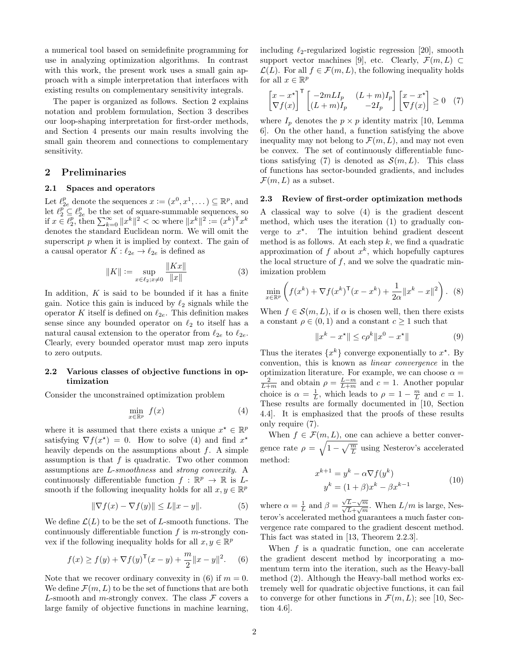a numerical tool based on semidefinite programming for use in analyzing optimization algorithms. In contrast with this work, the present work uses a small gain approach with a simple interpretation that interfaces with existing results on complementary sensitivity integrals.

The paper is organized as follows. Section [2](#page-1-0) explains notation and problem formulation, Section [3](#page-3-0) describes our loop-shaping interpretation for first-order methods, and Section [4](#page-4-0) presents our main results involving the small gain theorem and connections to complementary sensitivity.

### <span id="page-1-0"></span>2 Preliminaries

### 2.1 Spaces and operators

Let  $\ell_{2e}^p$  denote the sequences  $x := (x^0, x^1, \dots) \subseteq \mathbb{R}^p$ , and let  $\ell_2^p \subseteq \ell_{2e}^p$  be the set of square-summable sequences, so if  $x \in \ell_2^p$ , then  $\sum_{k=0}^{\infty} ||x^k||^2 < \infty$  where  $||x^k||^2 := (x^k)^\mathsf{T} x^k$ denotes the standard Euclidean norm. We will omit the superscript  $p$  when it is implied by context. The gain of a causal operator  $K : \ell_{2e} \to \ell_{2e}$  is defined as

$$
||K|| := \sup_{x \in \ell_2; x \neq 0} \frac{||Kx||}{||x||}
$$
 (3)

In addition,  $K$  is said to be bounded if it has a finite gain. Notice this gain is induced by  $\ell_2$  signals while the operator K itself is defined on  $\ell_{2e}$ . This definition makes sense since any bounded operator on  $\ell_2$  to itself has a natural causal extension to the operator from  $\ell_{2e}$  to  $\ell_{2e}$ . Clearly, every bounded operator must map zero inputs to zero outputs.

### 2.2 Various classes of objective functions in optimization

Consider the unconstrained optimization problem

$$
\min_{x \in \mathbb{R}^p} f(x) \tag{4}
$$

where it is assumed that there exists a unique  $x^* \in \mathbb{R}^p$ satisfying  $\nabla f(x^*) = 0$ . How to solve [\(4\)](#page-1-1) and find  $x^*$ heavily depends on the assumptions about  $f$ . A simple assumption is that  $f$  is quadratic. Two other common assumptions are L-smoothness and strong convexity. A continuously differentiable function  $f : \mathbb{R}^p \to \mathbb{R}$  is Lsmooth if the following inequality holds for all  $x, y \in \mathbb{R}^p$ 

$$
\|\nabla f(x) - \nabla f(y)\| \le L\|x - y\|.\tag{5}
$$

We define  $\mathcal{L}(L)$  to be the set of L-smooth functions. The continuously differentiable function  $f$  is m-strongly convex if the following inequality holds for all  $x, y \in \mathbb{R}^p$ 

$$
f(x) \ge f(y) + \nabla f(y)^{\mathsf{T}}(x - y) + \frac{m}{2} ||x - y||^2.
$$
 (6)

Note that we recover ordinary convexity in [\(6\)](#page-1-2) if  $m = 0$ . We define  $\mathcal{F}(m,L)$  to be the set of functions that are both L-smooth and m-strongly convex. The class  $\mathcal F$  covers a large family of objective functions in machine learning,

including  $\ell_2$ -regularized logistic regression [\[20\]](#page-6-11), smooth support vector machines [\[9\]](#page-6-12), etc. Clearly,  $\mathcal{F}(m,L) \subset$  $\mathcal{L}(L)$ . For all  $f \in \mathcal{F}(m, L)$ , the following inequality holds for all  $x \in \mathbb{R}^p$ 

<span id="page-1-3"></span>
$$
\begin{bmatrix} x - x^{\star} \\ \nabla f(x) \end{bmatrix}^{\mathsf{T}} \begin{bmatrix} -2mLI_p & (L+m)I_p \\ (L+m)I_p & -2I_p \end{bmatrix} \begin{bmatrix} x - x^{\star} \\ \nabla f(x) \end{bmatrix} \ge 0 \quad (7)
$$

where  $I_p$  denotes the  $p \times p$  identity matrix [\[10,](#page-6-2) Lemma 6]. On the other hand, a function satisfying the above inequality may not belong to  $\mathcal{F}(m,L)$ , and may not even be convex. The set of continuously differentiable func-tions satisfying [\(7\)](#page-1-3) is denoted as  $\mathcal{S}(m, L)$ . This class of functions has sector-bounded gradients, and includes  $\mathcal{F}(m,L)$  as a subset.

### 2.3 Review of first-order optimization methods

A classical way to solve [\(4\)](#page-1-1) is the gradient descent method, which uses the iteration [\(1\)](#page-0-0) to gradually converge to  $x^*$ . The intuition behind gradient descent method is as follows. At each step  $k$ , we find a quadratic approximation of f about  $x^k$ , which hopefully captures the local structure of  $f$ , and we solve the quadratic minimization problem

<span id="page-1-5"></span>
$$
\min_{x \in \mathbb{R}^p} \left( f(x^k) + \nabla f(x^k)^\mathsf{T} (x - x^k) + \frac{1}{2\alpha} \|x^k - x\|^2 \right). \tag{8}
$$

When  $f \in \mathcal{S}(m, L)$ , if  $\alpha$  is chosen well, then there exists a constant  $\rho \in (0,1)$  and a constant  $c \geq 1$  such that

$$
||x^k - x^*|| \le c\rho^k ||x^0 - x^*|| \tag{9}
$$

Thus the iterates  $\{x^k\}$  converge exponentially to  $x^*$ . By convention, this is known as linear convergence in the optimization literature. For example, we can choose  $\alpha =$  $\frac{2}{L+m}$  and obtain  $\rho = \frac{L-m}{L+m}$  and  $c = 1$ . Another popular choice is  $\alpha = \frac{1}{L}$ , which leads to  $\rho = 1 - \frac{m}{L}$  and  $c = 1$ . These results are formally documented in [\[10,](#page-6-2) Section 4.4]. It is emphasized that the proofs of these results only require [\(7\)](#page-1-3).

<span id="page-1-1"></span>When  $f \in \mathcal{F}(m,L)$ , one can achieve a better convergence rate  $\rho = \sqrt{1 - \sqrt{\frac{m}{L}}}$  using Nesterov's accelerated method:

<span id="page-1-4"></span>
$$
x^{k+1} = y^k - \alpha \nabla f(y^k)
$$
  

$$
y^k = (1 + \beta)x^k - \beta x^{k-1}
$$
 (10)

where  $\alpha = \frac{1}{L}$  and  $\beta =$  $\frac{\sqrt{L}-\sqrt{m}}{\sqrt{L}+\sqrt{m}}$ . When  $L/m$  is large, Nesterov's accelerated method guarantees a much faster convergence rate compared to the gradient descent method. This fact was stated in [\[13,](#page-6-3) Theorem 2.2.3].

<span id="page-1-2"></span>When  $f$  is a quadratic function, one can accelerate the gradient descent method by incorporating a momentum term into the iteration, such as the Heavy-ball method [\(2\)](#page-0-1). Although the Heavy-ball method works extremely well for quadratic objective functions, it can fail to converge for other functions in  $\mathcal{F}(m,L)$ ; see [\[10,](#page-6-2) Section 4.6].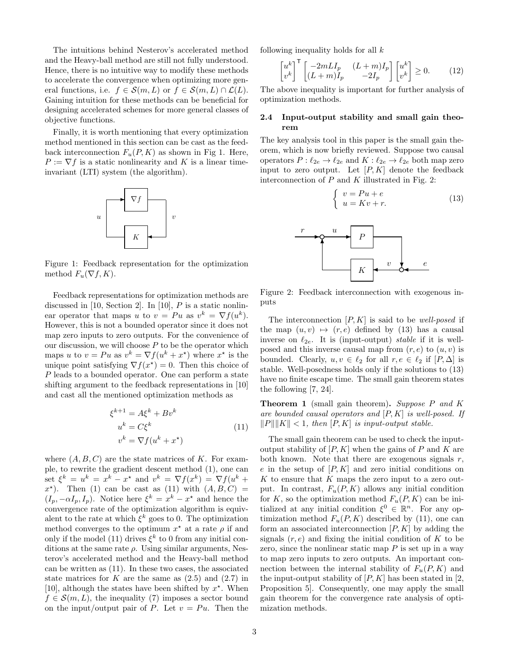The intuitions behind Nesterov's accelerated method and the Heavy-ball method are still not fully understood. Hence, there is no intuitive way to modify these methods to accelerate the convergence when optimizing more general functions, i.e.  $f \in \mathcal{S}(m,L)$  or  $f \in \mathcal{S}(m,L) \cap \mathcal{L}(L)$ . Gaining intuition for these methods can be beneficial for designing accelerated schemes for more general classes of objective functions.

Finally, it is worth mentioning that every optimization method mentioned in this section can be cast as the feedback interconnection  $F_u(P, K)$  as shown in Fig [1.](#page-2-0) Here,  $P := \nabla f$  is a static nonlinearity and K is a linear timeinvariant (LTI) system (the algorithm).



<span id="page-2-0"></span>Figure 1: Feedback representation for the optimization method  $F_u(\nabla f, K)$ .

Feedback representations for optimization methods are discussed in  $[10, \text{Section 2}].$  $[10, \text{Section 2}].$  In  $[10], P$  $[10], P$  is a static nonlinear operator that maps u to  $v = Pu$  as  $v^k = \nabla f(u^k)$ . However, this is not a bounded operator since it does not map zero inputs to zero outputs. For the convenience of our discussion, we will choose  $P$  to be the operator which maps u to  $v = Pu$  as  $v^k = \nabla f(u^k + x^*)$  where  $x^*$  is the unique point satisfying  $\nabla f(x^*) = 0$ . Then this choice of P leads to a bounded operator. One can perform a state shifting argument to the feedback representations in [\[10\]](#page-6-2) and cast all the mentioned optimization methods as

$$
\xi^{k+1} = A\xi^k + Bv^k
$$
  
\n
$$
u^k = C\xi^k
$$
  
\n
$$
v^k = \nabla f(u^k + x^*)
$$
\n(11)

where  $(A, B, C)$  are the state matrices of K. For example, to rewrite the gradient descent method [\(1\)](#page-0-0), one can set  $\xi^k = u^k = x^k - x^*$  and  $v^k = \nabla f(x^k) = \nabla f(u^k +$  $x^*$ ). Then [\(1\)](#page-0-0) can be cast as [\(11\)](#page-2-1) with  $(A, B, C)$  =  $(I_p, -\alpha I_p, I_p)$ . Notice here  $\xi^k = x^k - x^*$  and hence the convergence rate of the optimization algorithm is equivalent to the rate at which  $\xi^k$  goes to 0. The optimization method converges to the optimum  $x^*$  at a rate  $\rho$  if and only if the model [\(11\)](#page-2-1) drives  $\xi^k$  to 0 from any initial conditions at the same rate  $\rho$ . Using similar arguments, Nesterov's accelerated method and the Heavy-ball method can be written as [\(11\)](#page-2-1). In these two cases, the associated state matrices for K are the same as  $(2.5)$  and  $(2.7)$  in [\[10\]](#page-6-2), although the states have been shifted by  $x^*$ . When  $f \in \mathcal{S}(m,L)$ , the inequality [\(7\)](#page-1-3) imposes a sector bound on the input/output pair of P. Let  $v = Pu$ . Then the following inequality holds for all  $k$ 

<span id="page-2-4"></span>
$$
\begin{bmatrix} u^k \\ v^k \end{bmatrix}^\mathsf{T} \begin{bmatrix} -2mLI_p & (L+m)I_p \\ (L+m)I_p & -2I_p \end{bmatrix} \begin{bmatrix} u^k \\ v^k \end{bmatrix} \ge 0.
$$
 (12)

The above inequality is important for further analysis of optimization methods.

### 2.4 Input-output stability and small gain theorem

The key analysis tool in this paper is the small gain theorem, which is now briefly reviewed. Suppose two causal operators  $P: \ell_{2e} \to \ell_{2e}$  and  $K: \ell_{2e} \to \ell_{2e}$  both map zero input to zero output. Let  $[P, K]$  denote the feedback interconnection of  $P$  and  $K$  illustrated in Fig. [2:](#page-2-2)

<span id="page-2-3"></span>
$$
\begin{cases}\nv = Pu + e \\
u = Kv + r.\n\end{cases}
$$
\n(13)



<span id="page-2-2"></span>Figure 2: Feedback interconnection with exogenous inputs

The interconnection  $[P, K]$  is said to be well-posed if the map  $(u, v) \mapsto (r, e)$  defined by [\(13\)](#page-2-3) has a causal inverse on  $\ell_{2e}$ . It is (input-output) stable if it is wellposed and this inverse causal map from  $(r, e)$  to  $(u, v)$  is bounded. Clearly,  $u, v \in \ell_2$  for all  $r, e \in \ell_2$  if  $[P, \Delta]$  is stable. Well-posedness holds only if the solutions to [\(13\)](#page-2-3) have no finite escape time. The small gain theorem states the following [\[7,](#page-6-13) [24\]](#page-6-6).

<span id="page-2-1"></span>**Theorem 1** (small gain theorem). Suppose  $P$  and  $K$ are bounded causal operators and  $[P, K]$  is well-posed. If  $||P|| ||K|| < 1$ , then  $[P, K]$  is input-output stable.

The small gain theorem can be used to check the inputoutput stability of  $[P, K]$  when the gains of P and K are both known. Note that there are exogenous signals  $r$ , e in the setup of  $[P, K]$  and zero initial conditions on  $K$  to ensure that  $K$  maps the zero input to a zero output. In contrast,  $F_u(P, K)$  allows any initial condition for K, so the optimization method  $F_u(P, K)$  can be initialized at any initial condition  $\xi^0 \in \mathbb{R}^n$ . For any optimization method  $F_u(P, K)$  described by [\(11\)](#page-2-1), one can form an associated interconnection  $[P, K]$  by adding the signals  $(r, e)$  and fixing the initial condition of K to be zero, since the nonlinear static map  $P$  is set up in a way to map zero inputs to zero outputs. An important connection between the internal stability of  $F_u(P, K)$  and the input-output stability of  $[P, K]$  has been stated in [\[2,](#page-6-14) Proposition 5]. Consequently, one may apply the small gain theorem for the convergence rate analysis of optimization methods.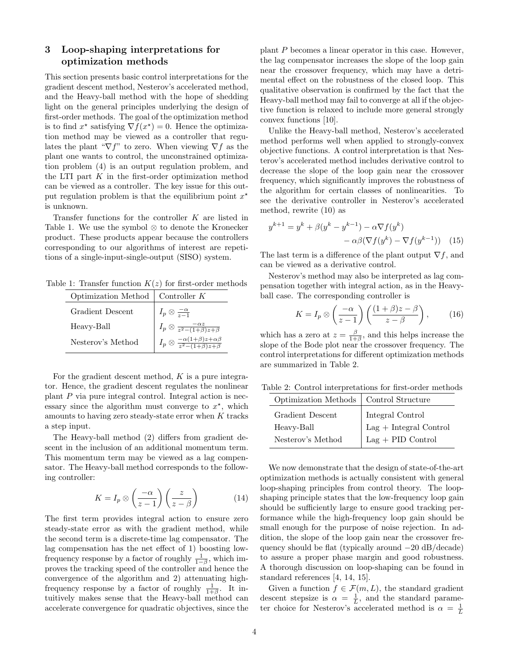# <span id="page-3-0"></span>3 Loop-shaping interpretations for optimization methods

This section presents basic control interpretations for the gradient descent method, Nesterov's accelerated method, and the Heavy-ball method with the hope of shedding light on the general principles underlying the design of first-order methods. The goal of the optimization method is to find  $x^*$  satisfying  $\nabla f(x^*) = 0$ . Hence the optimization method may be viewed as a controller that regulates the plant " $\nabla f$ " to zero. When viewing  $\nabla f$  as the plant one wants to control, the unconstrained optimization problem [\(4\)](#page-1-1) is an output regulation problem, and the LTI part  $K$  in the first-order optimization method can be viewed as a controller. The key issue for this output regulation problem is that the equilibrium point  $x^*$ is unknown.

Transfer functions for the controller K are listed in Table [1.](#page-3-1) We use the symbol ⊗ to denote the Kronecker product. These products appear because the controllers corresponding to our algorithms of interest are repetitions of a single-input-single-output (SISO) system.

Table 1: Transfer function  $K(z)$  for first-order methods

<span id="page-3-1"></span>

| Optimization Method | Controller $K$                                                                                                                              |
|---------------------|---------------------------------------------------------------------------------------------------------------------------------------------|
| Gradient Descent    | $I_p \otimes \frac{-\alpha}{z-1}$                                                                                                           |
| Heavy-Ball          |                                                                                                                                             |
| Nesterov's Method   | $I_p \otimes \frac{-\alpha z}{z^2 - (1+\beta)z + \beta}$<br>$I_p \otimes \frac{-\alpha(1+\beta)z + \alpha \beta}{z^2 - (1+\beta)z + \beta}$ |

For the gradient descent method,  $K$  is a pure integrator. Hence, the gradient descent regulates the nonlinear plant P via pure integral control. Integral action is necessary since the algorithm must converge to  $x^*$ , which amounts to having zero steady-state error when  $K$  tracks a step input.

The Heavy-ball method [\(2\)](#page-0-1) differs from gradient descent in the inclusion of an additional momentum term. This momentum term may be viewed as a lag compensator. The Heavy-ball method corresponds to the following controller:

$$
K = I_p \otimes \left(\frac{-\alpha}{z - 1}\right) \left(\frac{z}{z - \beta}\right) \tag{14}
$$

The first term provides integral action to ensure zero steady-state error as with the gradient method, while the second term is a discrete-time lag compensator. The lag compensation has the net effect of 1) boosting lowfrequency response by a factor of roughly  $\frac{1}{1-\beta}$ , which improves the tracking speed of the controller and hence the convergence of the algorithm and 2) attenuating highfrequency response by a factor of roughly  $\frac{1}{1+\beta}$ . It intuitively makes sense that the Heavy-ball method can accelerate convergence for quadratic objectives, since the plant P becomes a linear operator in this case. However, the lag compensator increases the slope of the loop gain near the crossover frequency, which may have a detrimental effect on the robustness of the closed loop. This qualitative observation is confirmed by the fact that the Heavy-ball method may fail to converge at all if the objective function is relaxed to include more general strongly convex functions [\[10\]](#page-6-2).

Unlike the Heavy-ball method, Nesterov's accelerated method performs well when applied to strongly-convex objective functions. A control interpretation is that Nesterov's accelerated method includes derivative control to decrease the slope of the loop gain near the crossover frequency, which significantly improves the robustness of the algorithm for certain classes of nonlinearities. To see the derivative controller in Nesterov's accelerated method, rewrite [\(10\)](#page-1-4) as

$$
y^{k+1} = y^k + \beta(y^k - y^{k-1}) - \alpha \nabla f(y^k)
$$

$$
- \alpha \beta (\nabla f(y^k) - \nabla f(y^{k-1})) \quad (15)
$$

The last term is a difference of the plant output  $\nabla f$ , and can be viewed as a derivative control.

Nesterov's method may also be interpreted as lag compensation together with integral action, as in the Heavyball case. The corresponding controller is

$$
K = I_p \otimes \left(\frac{-\alpha}{z - 1}\right) \left(\frac{(1 + \beta)z - \beta}{z - \beta}\right),\tag{16}
$$

which has a zero at  $z = \frac{\beta}{1+\beta}$ , and this helps increase the slope of the Bode plot near the crossover frequency. The control interpretations for different optimization methods are summarized in Table [2.](#page-3-2)

Table 2: Control interpretations for first-order methods

<span id="page-3-2"></span>

| Optimization Methods   Control Structure |                                                                                                           |
|------------------------------------------|-----------------------------------------------------------------------------------------------------------|
| Gradient Descent                         | $\begin{tabular}{ l l } Integral Control \\ Lag + Integral Control \\ Lag + PID Control \\ \end{tabular}$ |
| Heavy-Ball                               |                                                                                                           |
| Nesterov's Method                        |                                                                                                           |

We now demonstrate that the design of state-of-the-art optimization methods is actually consistent with general loop-shaping principles from control theory. The loopshaping principle states that the low-frequency loop gain should be sufficiently large to ensure good tracking performance while the high-frequency loop gain should be small enough for the purpose of noise rejection. In addition, the slope of the loop gain near the crossover frequency should be flat (typically around −20 dB/decade) to assure a proper phase margin and good robustness. A thorough discussion on loop-shaping can be found in standard references [\[4,](#page-6-15) [14,](#page-6-16) [15\]](#page-6-17).

Given a function  $f \in \mathcal{F}(m,L)$ , the standard gradient descent stepsize is  $\alpha = \frac{1}{L}$ , and the standard parameter choice for Nesterov's accelerated method is  $\alpha = \frac{1}{L}$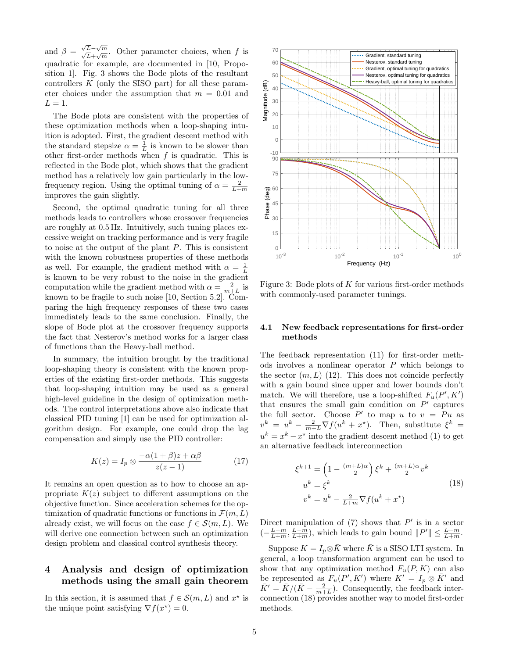and  $\beta =$  $\frac{\sqrt{L}-\sqrt{m}}{\sqrt{L}+\sqrt{m}}$ . Other parameter choices, when f is quadratic for example, are documented in [\[10,](#page-6-2) Proposition 1]. Fig. [3](#page-4-1) shows the Bode plots of the resultant controllers  $K$  (only the SISO part) for all these parameter choices under the assumption that  $m = 0.01$  and  $L=1$ .

The Bode plots are consistent with the properties of these optimization methods when a loop-shaping intuition is adopted. First, the gradient descent method with the standard stepsize  $\alpha = \frac{1}{L}$  is known to be slower than other first-order methods when  $f$  is quadratic. This is reflected in the Bode plot, which shows that the gradient method has a relatively low gain particularly in the lowfrequency region. Using the optimal tuning of  $\alpha = \frac{2}{L+m}$ improves the gain slightly.

Second, the optimal quadratic tuning for all three methods leads to controllers whose crossover frequencies are roughly at 0.5 Hz. Intuitively, such tuning places excessive weight on tracking performance and is very fragile to noise at the output of the plant P. This is consistent with the known robustness properties of these methods as well. For example, the gradient method with  $\alpha = \frac{1}{L}$ is known to be very robust to the noise in the gradient computation while the gradient method with  $\alpha = \frac{2}{m+L}$  is known to be fragile to such noise [\[10,](#page-6-2) Section 5.2]. Comparing the high frequency responses of these two cases immediately leads to the same conclusion. Finally, the slope of Bode plot at the crossover frequency supports the fact that Nesterov's method works for a larger class of functions than the Heavy-ball method.

In summary, the intuition brought by the traditional loop-shaping theory is consistent with the known properties of the existing first-order methods. This suggests that loop-shaping intuition may be used as a general high-level guideline in the design of optimization methods. The control interpretations above also indicate that classical PID tuning [\[1\]](#page-6-18) can be used for optimization algorithm design. For example, one could drop the lag compensation and simply use the PID controller:

$$
K(z) = I_p \otimes \frac{-\alpha(1+\beta)z + \alpha\beta}{z(z-1)}
$$
(17)

It remains an open question as to how to choose an appropriate  $K(z)$  subject to different assumptions on the objective function. Since acceleration schemes for the optimization of quadratic functions or functions in  $\mathcal{F}(m,L)$ already exist, we will focus on the case  $f \in \mathcal{S}(m,L)$ . We will derive one connection between such an optimization design problem and classical control synthesis theory.

## <span id="page-4-0"></span>4 Analysis and design of optimization methods using the small gain theorem

In this section, it is assumed that  $f \in \mathcal{S}(m, L)$  and  $x^*$  is the unique point satisfying  $\nabla f(x^*) = 0$ .



<span id="page-4-1"></span>Figure 3: Bode plots of  $K$  for various first-order methods with commonly-used parameter tunings.

### 4.1 New feedback representations for first-order methods

The feedback representation [\(11\)](#page-2-1) for first-order methods involves a nonlinear operator  $P$  which belongs to the sector  $(m, L)$  [\(12\)](#page-2-4). This does not coincide perfectly with a gain bound since upper and lower bounds don't match. We will therefore, use a loop-shifted  $F_u(P', K')$ that ensures the small gain condition on  $P'$  captures the full sector. Choose  $P'$  to map u to  $v = Pu$  as  $v^k = u^k - \frac{2}{m+L} \nabla f(u^k + x^*)$ . Then, substitute  $\xi^k =$  $u^k = x^k - x^*$  into the gradient descent method [\(1\)](#page-0-0) to get an alternative feedback interconnection

<span id="page-4-2"></span>
$$
\xi^{k+1} = \left(1 - \frac{(m+L)\alpha}{2}\right)\xi^k + \frac{(m+L)\alpha}{2}v^k
$$
  
\n
$$
u^k = \xi^k
$$
  
\n
$$
v^k = u^k - \frac{2}{L+m}\nabla f(u^k + x^*)
$$
\n(18)

Direct manipulation of  $(7)$  shows that  $P'$  is in a sector  $\left(-\frac{L-m}{L+m}, \frac{L-m}{L+m}\right)$ , which leads to gain bound  $||P'|| \leq \frac{L-m}{L+m}$ .

Suppose  $K = I_p \otimes \overline{K}$  where  $\overline{K}$  is a SISO LTI system. In general, a loop transformation argument can be used to show that any optimization method  $F_u(P, K)$  can also be represented as  $F_u(P', K')$  where  $K' = I_p \otimes \bar{K}'$  and  $\bar{K}' = \bar{K}/(\bar{K} - \frac{2}{m+L})$ . Consequently, the feedback interconnection [\(18\)](#page-4-2) provides another way to model first-order methods.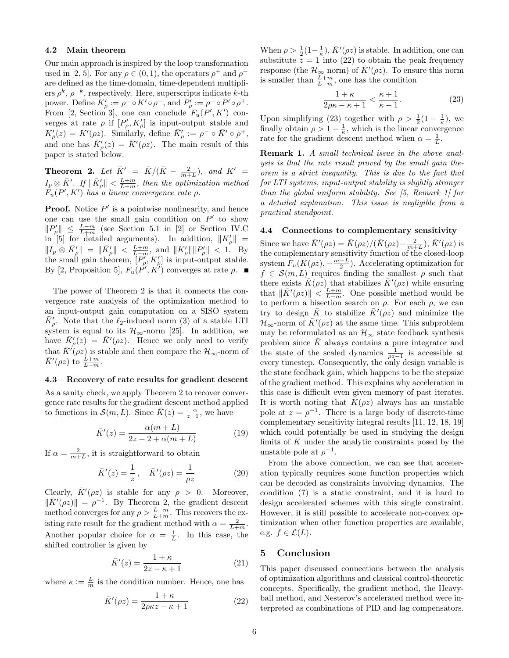### 4.2 Main theorem

Our main approach is inspired by the loop transformation used in [\[2,](#page-6-14) [5\]](#page-6-19). For any  $\rho \in (0, 1)$ , the operators  $\rho^+$  and  $\rho^$ are defined as the time-domain, time-dependent multipliers  $\rho^k$ ,  $\rho^{-k}$ , respectively. Here, superscripts indicate k-th power. Define  $K'_{\rho} := \rho^{-} \circ K' \circ \rho^{+}$ , and  $P'_{\rho} := \rho^{-} \circ P' \circ \rho^{+}$ . From [\[2,](#page-6-14) Section 3], one can conclude  $F_u(P', K')$  converges at rate  $\rho$  if  $[P'_{\rho}, K'_{\rho}]$  is input-output stable and  $K'_{\rho}(z) = K'(\rho z)$ . Similarly, define  $\bar{K}'_{\rho} := \rho^{-} \circ \bar{K}' \circ \rho^{+}$ , and one has  $\bar{K}_{\rho}'(z) = \bar{K}'(\rho z)$ . The main result of this paper is stated below.

<span id="page-5-0"></span>**Theorem 2.** Let  $\bar{K}' = \bar{K}/(\bar{K} - \frac{2}{m+L}),$  and  $K' =$  $I_p\otimes \bar K'$ . If  $\|\bar K_\rho'\|<\frac{L+m}{L-m}$ , then the optimization method  $F_u(P', K')$  has a linear convergence rate  $\rho$ .

**Proof.** Notice  $P'$  is a pointwise nonlinearity, and hence one can use the small gain condition on  $P'$  to show  $||P'_{\rho}|| \leq \frac{L-m}{L+m}$  (see Section 5.1 in [\[2\]](#page-6-14) or Section IV.C in [\[5\]](#page-6-19) for detailed arguments). In addition,  $||K'_{\rho}||$  =  $||I_p \otimes \bar{K}'_p|| = ||\bar{K}'_p|| < \frac{L+m}{L-m}$ , and  $||K'_p|| ||P'_p|| < 1$ . By the small gain theorem,  $[P_\rho^{\prime\prime}, K_\rho^{\prime}]$  is input-output stable. By [\[2,](#page-6-14) Proposition 5],  $F_u(P', K')$  converges at rate  $\rho$ .

The power of Theorem [2](#page-5-0) is that it connects the convergence rate analysis of the optimization method to an input-output gain computation on a SISO system  $\bar{K}_{\rho}$ . Note that the  $\ell_2$ -induced norm [\(3\)](#page-1-5) of a stable LTI system is equal to its  $\mathcal{H}_{\infty}$ -norm [\[25\]](#page-6-20). In addition, we have  $\bar{K}_{\rho}'(z) = \bar{K}'(\rho z)$ . Hence we only need to verify that  $\bar{K}'(\rho z)$  is stable and then compare the  $\mathcal{H}_{\infty}$ -norm of  $\bar{K}'(\rho z)$  to  $\frac{\tilde{L}+m}{\tilde{L}-m}$ .

### 4.3 Recovery of rate results for gradient descent

As a sanity check, we apply Theorem [2](#page-5-0) to recover convergence rate results for the gradient descent method applied to functions in  $\mathcal{S}(m, L)$ . Since  $\bar{K}(z) = \frac{-\alpha}{z-1}$ , we have

$$
\bar{K}'(z) = \frac{\alpha(m+L)}{2z - 2 + \alpha(m+L)}\tag{19}
$$

If  $\alpha = \frac{2}{m+L}$ , it is straightforward to obtain

$$
\bar{K}'(z) = \frac{1}{z}, \quad \bar{K}'(\rho z) = \frac{1}{\rho z}
$$
\n(20)

Clearly,  $\bar{K}'(\rho z)$  is stable for any  $\rho > 0$ . Moreover,  $\|\bar{K}'(\rho z)\| = \rho^{-1}$ . By Theorem [2,](#page-5-0) the gradient descent method converges for any  $\rho > \frac{L-m}{L+m}$ . This recovers the existing rate result for the gradient method with  $\alpha = \frac{2}{L+m}$ . Another popular choice for  $\alpha = \frac{1}{L}$ . In this case, the shifted controller is given by

$$
\bar{K}'(z) = \frac{1+\kappa}{2z-\kappa+1} \tag{21}
$$

where  $\kappa := \frac{L}{m}$  is the condition number. Hence, one has

$$
\bar{K}'(\rho z) = \frac{1+\kappa}{2\rho\kappa z - \kappa + 1} \tag{22}
$$

When  $\rho > \frac{1}{2}(1-\frac{1}{\kappa})$ ,  $\bar{K}'(\rho z)$  is stable. In addition, one can substitute  $z = 1$  into [\(22\)](#page-5-1) to obtain the peak frequency response (the  $\mathcal{H}_{\infty}$  norm) of  $\bar{K}'(\rho z)$ . To ensure this norm is smaller than  $\frac{L+m}{L-m}$ , one has the condition

<span id="page-5-2"></span>
$$
\frac{1+\kappa}{2\rho\kappa-\kappa+1} < \frac{\kappa+1}{\kappa-1}.\tag{23}
$$

Upon simplifying [\(23\)](#page-5-2) together with  $\rho > \frac{1}{2}(1 - \frac{1}{\kappa})$ , we finally obtain  $\rho > 1 - \frac{1}{\kappa}$ , which is the linear convergence rate for the gradient descent method when  $\alpha = \frac{1}{L}$ .

**Remark 1.** A small technical issue in the above analysis is that the rate result proved by the small gain theorem is a strict inequality. This is due to the fact that for LTI systems, input-output stability is slightly stronger than the global uniform stability. See [\[5,](#page-6-19) Remark 1] for a detailed explanation. This issue is negligible from a practical standpoint.

#### 4.4 Connections to complementary sensitivity

Since we have  $\bar{K}'(\rho z) = \bar{K}(\rho z)/(\bar{K}(\rho z) - \frac{2}{m+L}), \bar{K}'(\rho z)$  is the complementary sensitivity function of the closed-loop system  $F_u(\bar{K}(\rho z), -\frac{m+L}{2})$ . Accelerating optimization for  $f \in \mathcal{S}(m,L)$  requires finding the smallest  $\rho$  such that there exists  $\bar{K}(\rho z)$  that stabilizes  $\bar{K}'(\rho z)$  while ensuring that  $\|\bar{K}'(\rho z)\| < \frac{L+m}{L-m}$ . One possible method would be to perform a bisection search on  $\rho$ . For each  $\rho$ , we can try to design  $\overline{K}$  to stabilize  $\overline{K}'(\rho z)$  and minimize the  $\mathcal{H}_{\infty}$ -norm of  $\bar{K}'(\rho z)$  at the same time. This subproblem may be reformulated as an  $\mathcal{H}_{\infty}$  state feedback synthesis problem since  $\bar{K}$  always contains a pure integrator and the state of the scaled dynamics  $\frac{1}{\rho z-1}$  is accessible at every timestep. Consequently, the only design variable is the state feedback gain, which happens to be the stepsize of the gradient method. This explains why acceleration in this case is difficult even given memory of past iterates. It is worth noting that  $\bar{K}(\rho z)$  always has an unstable pole at  $z = \rho^{-1}$ . There is a large body of discrete-time complementary sensitivity integral results [\[11,](#page-6-21) [12,](#page-6-22) [18,](#page-6-23) [19\]](#page-6-24) which could potentially be used in studying the design limits of  $\overline{K}$  under the analytic constraints posed by the unstable pole at  $\rho^{-1}$ .

From the above connection, we can see that acceleration typically requires some function properties which can be decoded as constraints involving dynamics. The condition [\(7\)](#page-1-3) is a static constraint, and it is hard to design accelerated schemes with this single constraint. However, it is still possible to accelerate non-convex optimization when other function properties are available, e.g.  $f \in \mathcal{L}(L)$ .

## 5 Conclusion

<span id="page-5-1"></span>This paper discussed connections between the analysis of optimization algorithms and classical control-theoretic concepts. Specifically, the gradient method, the Heavyball method, and Nesterov's accelerated method were interpreted as combinations of PID and lag compensators.